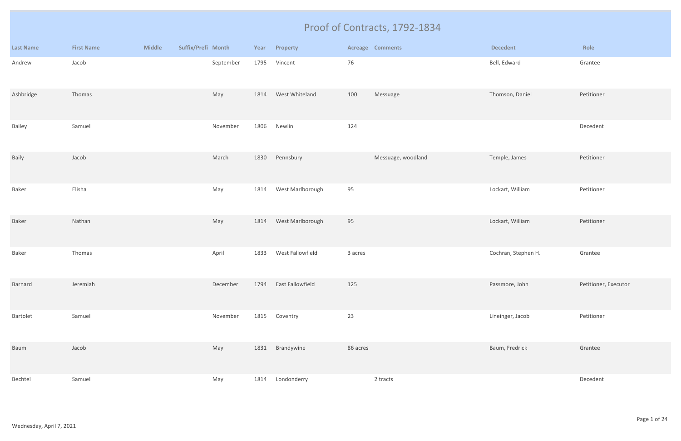|                  |                   |               |                    |           |      |                  |          | Proof of Contracts, 1792-1834 |                     |                      |
|------------------|-------------------|---------------|--------------------|-----------|------|------------------|----------|-------------------------------|---------------------|----------------------|
| <b>Last Name</b> | <b>First Name</b> | <b>Middle</b> | Suffix/Prefi Month |           |      | Year Property    |          | <b>Acreage Comments</b>       | <b>Decedent</b>     | Role                 |
| Andrew           | Jacob             |               |                    | September | 1795 | Vincent          | 76       |                               | Bell, Edward        | Grantee              |
| Ashbridge        | Thomas            |               |                    | May       | 1814 | West Whiteland   | 100      | Messuage                      | Thomson, Daniel     | Petitioner           |
| Bailey           | Samuel            |               |                    | November  | 1806 | Newlin           | 124      |                               |                     | Decedent             |
| Baily            | Jacob             |               |                    | March     |      | 1830 Pennsbury   |          | Messuage, woodland            | Temple, James       | Petitioner           |
| Baker            | Elisha            |               |                    | May       | 1814 | West Marlborough | 95       |                               | Lockart, William    | Petitioner           |
| Baker            | Nathan            |               |                    | May       | 1814 | West Marlborough | 95       |                               | Lockart, William    | Petitioner           |
| Baker            | Thomas            |               |                    | April     | 1833 | West Fallowfield | 3 acres  |                               | Cochran, Stephen H. | Grantee              |
| Barnard          | Jeremiah          |               |                    | December  | 1794 | East Fallowfield | 125      |                               | Passmore, John      | Petitioner, Executor |
| Bartolet         | Samuel            |               |                    | November  | 1815 | Coventry         | 23       |                               | Lineinger, Jacob    | Petitioner           |
| Baum             | Jacob             |               |                    | May       | 1831 | Brandywine       | 86 acres |                               | Baum, Fredrick      | Grantee              |
| Bechtel          | Samuel            |               |                    | May       | 1814 | Londonderry      |          | 2 tracts                      |                     | Decedent             |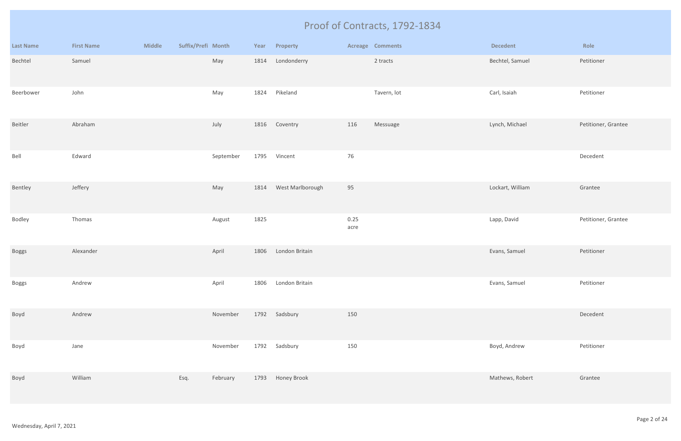|                  |                   |               |                    |           |      |                  |              | Proof of Contracts, 1792-1834 |                  |                     |
|------------------|-------------------|---------------|--------------------|-----------|------|------------------|--------------|-------------------------------|------------------|---------------------|
| <b>Last Name</b> | <b>First Name</b> | <b>Middle</b> | Suffix/Prefi Month |           | Year | Property         |              | <b>Acreage Comments</b>       | <b>Decedent</b>  | Role                |
| Bechtel          | Samuel            |               |                    | May       | 1814 | Londonderry      |              | 2 tracts                      | Bechtel, Samuel  | Petitioner          |
| Beerbower        | John              |               |                    | May       | 1824 | Pikeland         |              | Tavern, lot                   | Carl, Isaiah     | Petitioner          |
| Beitler          | Abraham           |               |                    | July      | 1816 | Coventry         | 116          | Messuage                      | Lynch, Michael   | Petitioner, Grantee |
| Bell             | Edward            |               |                    | September | 1795 | Vincent          | 76           |                               |                  | Decedent            |
| Bentley          | Jeffery           |               |                    | May       | 1814 | West Marlborough | 95           |                               | Lockart, William | Grantee             |
| Bodley           | Thomas            |               |                    | August    | 1825 |                  | 0.25<br>acre |                               | Lapp, David      | Petitioner, Grantee |
| Boggs            | Alexander         |               |                    | April     | 1806 | London Britain   |              |                               | Evans, Samuel    | Petitioner          |
| <b>Boggs</b>     | Andrew            |               |                    | April     | 1806 | London Britain   |              |                               | Evans, Samuel    | Petitioner          |
| Boyd             | Andrew            |               |                    | November  |      | 1792 Sadsbury    | 150          |                               |                  | Decedent            |
| Boyd             | Jane              |               |                    | November  | 1792 | Sadsbury         | 150          |                               | Boyd, Andrew     | Petitioner          |
| Boyd             | William           |               | Esq.               | February  | 1793 | Honey Brook      |              |                               | Mathews, Robert  | Grantee             |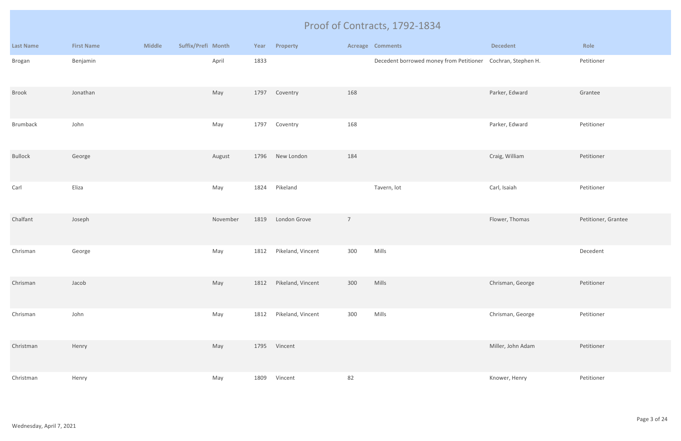|                  |                   |               |                    |          |      |                   |                | Proof of Contracts, 1792-1834                               |                   |                     |
|------------------|-------------------|---------------|--------------------|----------|------|-------------------|----------------|-------------------------------------------------------------|-------------------|---------------------|
| <b>Last Name</b> | <b>First Name</b> | <b>Middle</b> | Suffix/Prefi Month |          | Year | Property          |                | <b>Acreage Comments</b>                                     | <b>Decedent</b>   | Role                |
| Brogan           | Benjamin          |               |                    | April    | 1833 |                   |                | Decedent borrowed money from Petitioner Cochran, Stephen H. |                   | Petitioner          |
| <b>Brook</b>     | Jonathan          |               |                    | May      | 1797 | Coventry          | 168            |                                                             | Parker, Edward    | Grantee             |
| Brumback         | John              |               |                    | May      | 1797 | Coventry          | 168            |                                                             | Parker, Edward    | Petitioner          |
| <b>Bullock</b>   | George            |               |                    | August   | 1796 | New London        | 184            |                                                             | Craig, William    | Petitioner          |
| Carl             | Eliza             |               |                    | May      | 1824 | Pikeland          |                | Tavern, lot                                                 | Carl, Isaiah      | Petitioner          |
| Chalfant         | Joseph            |               |                    | November | 1819 | London Grove      | $\overline{7}$ |                                                             | Flower, Thomas    | Petitioner, Grantee |
| Chrisman         | George            |               |                    | May      | 1812 | Pikeland, Vincent | 300            | Mills                                                       |                   | Decedent            |
| Chrisman         | Jacob             |               |                    | May      | 1812 | Pikeland, Vincent | 300            | Mills                                                       | Chrisman, George  | Petitioner          |
| Chrisman         | John              |               |                    | May      | 1812 | Pikeland, Vincent | 300            | Mills                                                       | Chrisman, George  | Petitioner          |
| Christman        | Henry             |               |                    | May      |      | 1795 Vincent      |                |                                                             | Miller, John Adam | Petitioner          |
| Christman        | Henry             |               |                    | May      | 1809 | Vincent           | 82             |                                                             | Knower, Henry     | Petitioner          |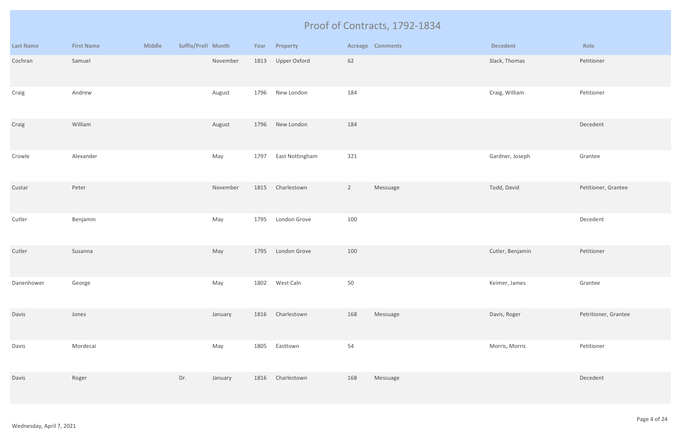|                  |                   |               |                    |          |      |                 |                | Proof of Contracts, 1792-1834 |                  |                      |
|------------------|-------------------|---------------|--------------------|----------|------|-----------------|----------------|-------------------------------|------------------|----------------------|
| <b>Last Name</b> | <b>First Name</b> | <b>Middle</b> | Suffix/Prefi Month |          | Year | Property        |                | <b>Acreage Comments</b>       | <b>Decedent</b>  | Role                 |
| Cochran          | Samuel            |               |                    | November | 1813 | Upper Oxford    | 62             |                               | Slack, Thomas    | Petitioner           |
| Craig            | Andrew            |               |                    | August   | 1796 | New London      | 184            |                               | Craig, William   | Petitioner           |
| Craig            | William           |               |                    | August   | 1796 | New London      | 184            |                               |                  | Decedent             |
| Crowle           | Alexander         |               |                    | May      | 1797 | East Nottingham | 321            |                               | Gardner, Joseph  | Grantee              |
| Custar           | Peter             |               |                    | November | 1815 | Charlestown     | $\overline{2}$ | Messuage                      | Todd, David      | Petitioner, Grantee  |
| Cutler           | Benjamin          |               |                    | May      | 1795 | London Grove    | 100            |                               |                  | Decedent             |
| Cutler           | Susanna           |               |                    | May      | 1795 | London Grove    | 100            |                               | Cutler, Benjamin | Petitioner           |
| Danenhower       | George            |               |                    | May      | 1802 | West Caln       | $50\,$         |                               | Keimer, James    | Grantee              |
| Davis            | Jones             |               |                    | January  | 1816 | Charlestown     | 168            | Messuage                      | Davis, Roger     | Petritioner, Grantee |
| Davis            | Mordecai          |               |                    | May      | 1805 | Easttown        | 54             |                               | Morris, Morris   | Petitioner           |
| Davis            | Roger             |               | Dr.                | January  | 1816 | Charlestown     | 168            | Messuage                      |                  | Decedent             |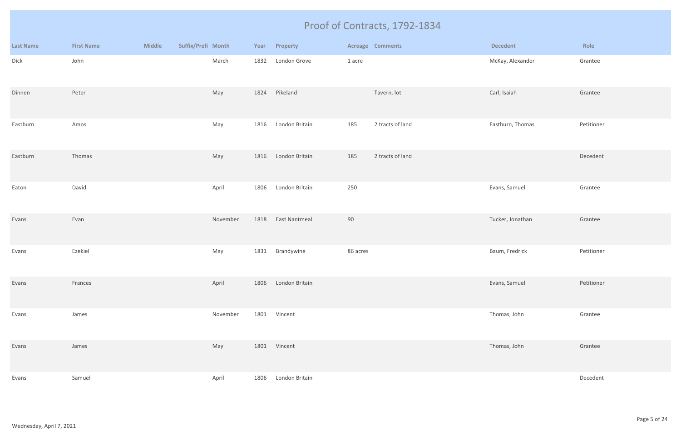|                  |                   |               |                    |          |      |                |          | Proof of Contracts, 1792-1834 |                  |            |
|------------------|-------------------|---------------|--------------------|----------|------|----------------|----------|-------------------------------|------------------|------------|
| <b>Last Name</b> | <b>First Name</b> | <b>Middle</b> | Suffix/Prefi Month |          | Year | Property       |          | Acreage Comments              | <b>Decedent</b>  | Role       |
| Dick             | John              |               |                    | March    | 1832 | London Grove   | 1 acre   |                               | McKay, Alexander | Grantee    |
| Dinnen           | Peter             |               |                    | May      | 1824 | Pikeland       |          | Tavern, lot                   | Carl, Isaiah     | Grantee    |
| Eastburn         | Amos              |               |                    | May      | 1816 | London Britain | 185      | 2 tracts of land              | Eastburn, Thomas | Petitioner |
| Eastburn         | Thomas            |               |                    | May      | 1816 | London Britain | 185      | 2 tracts of land              |                  | Decedent   |
| Eaton            | David             |               |                    | April    | 1806 | London Britain | 250      |                               | Evans, Samuel    | Grantee    |
| Evans            | Evan              |               |                    | November | 1818 | East Nantmeal  | 90       |                               | Tucker, Jonathan | Grantee    |
| Evans            | Ezekiel           |               |                    | May      | 1831 | Brandywine     | 86 acres |                               | Baum, Fredrick   | Petitioner |
| Evans            | Frances           |               |                    | April    | 1806 | London Britain |          |                               | Evans, Samuel    | Petitioner |
| Evans            | James             |               |                    | November | 1801 | Vincent        |          |                               | Thomas, John     | Grantee    |
| Evans            | James             |               |                    | May      |      | 1801 Vincent   |          |                               | Thomas, John     | Grantee    |
| Evans            | Samuel            |               |                    | April    | 1806 | London Britain |          |                               |                  | Decedent   |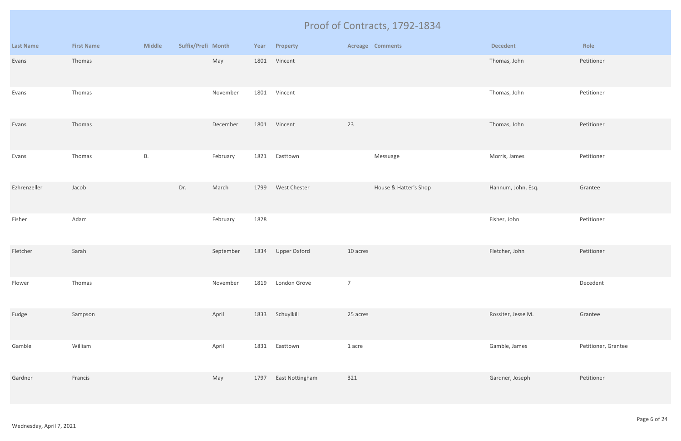|                  |                   |               |                    |           |      |                 |                | Proof of Contracts, 1792-1834 |                    |                     |
|------------------|-------------------|---------------|--------------------|-----------|------|-----------------|----------------|-------------------------------|--------------------|---------------------|
| <b>Last Name</b> | <b>First Name</b> | <b>Middle</b> | Suffix/Prefi Month |           | Year | Property        |                | <b>Acreage Comments</b>       | <b>Decedent</b>    | Role                |
| Evans            | Thomas            |               |                    | May       | 1801 | Vincent         |                |                               | Thomas, John       | Petitioner          |
| Evans            | Thomas            |               |                    | November  | 1801 | Vincent         |                |                               | Thomas, John       | Petitioner          |
| Evans            | Thomas            |               |                    | December  |      | 1801 Vincent    | 23             |                               | Thomas, John       | Petitioner          |
| Evans            | Thomas            | <b>B.</b>     |                    | February  | 1821 | Easttown        |                | Messuage                      | Morris, James      | Petitioner          |
| Ezhrenzeller     | Jacob             |               | Dr.                | March     | 1799 | West Chester    |                | House & Hatter's Shop         | Hannum, John, Esq. | Grantee             |
| Fisher           | Adam              |               |                    | February  | 1828 |                 |                |                               | Fisher, John       | Petitioner          |
| Fletcher         | Sarah             |               |                    | September | 1834 | Upper Oxford    | 10 acres       |                               | Fletcher, John     | Petitioner          |
| Flower           | Thomas            |               |                    | November  | 1819 | London Grove    | $\overline{7}$ |                               |                    | Decedent            |
| Fudge            | Sampson           |               |                    | April     | 1833 | Schuylkill      | 25 acres       |                               | Rossiter, Jesse M. | Grantee             |
| Gamble           | William           |               |                    | April     | 1831 | Easttown        | 1 acre         |                               | Gamble, James      | Petitioner, Grantee |
| Gardner          | Francis           |               |                    | May       | 1797 | East Nottingham | 321            |                               | Gardner, Joseph    | Petitioner          |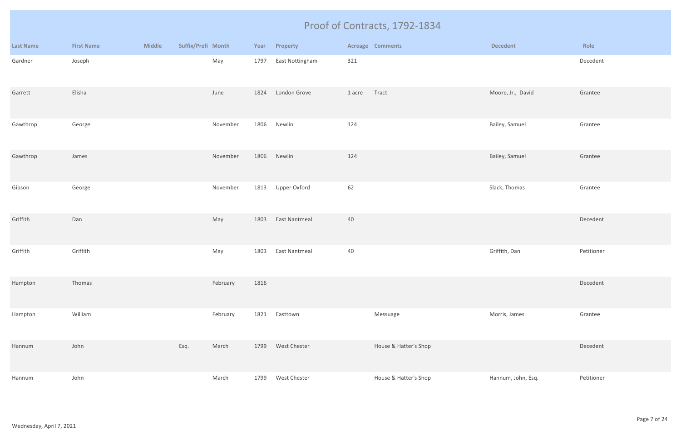|                  |                   |               |                    |      |                      |        | Proof of Contracts, 1792-1834 |                    |            |
|------------------|-------------------|---------------|--------------------|------|----------------------|--------|-------------------------------|--------------------|------------|
| <b>Last Name</b> | <b>First Name</b> | <b>Middle</b> | Suffix/Prefi Month | Year | Property             |        | <b>Acreage Comments</b>       | <b>Decedent</b>    | Role       |
| Gardner          | Joseph            |               | May                | 1797 | East Nottingham      | 321    |                               |                    | Decedent   |
| Garrett          | Elisha            |               | June               | 1824 | London Grove         | 1 acre | Tract                         | Moore, Jr., David  | Grantee    |
| Gawthrop         | George            |               | November           | 1806 | Newlin               | 124    |                               | Bailey, Samuel     | Grantee    |
| Gawthrop         | James             |               | November           | 1806 | Newlin               | 124    |                               | Bailey, Samuel     | Grantee    |
| Gibson           | George            |               | November           | 1813 | Upper Oxford         | 62     |                               | Slack, Thomas      | Grantee    |
| Griffith         | Dan               |               | May                | 1803 | <b>East Nantmeal</b> | 40     |                               |                    | Decedent   |
| Griffith         | Griffith          |               | May                | 1803 | <b>East Nantmeal</b> | 40     |                               | Griffith, Dan      | Petitioner |
| Hampton          | Thomas            |               | February           | 1816 |                      |        |                               |                    | Decedent   |
| Hampton          | William           |               | February           | 1821 | Easttown             |        | Messuage                      | Morris, James      | Grantee    |
| Hannum           | John              |               | Esq.<br>March      | 1799 | West Chester         |        | House & Hatter's Shop         |                    | Decedent   |
| Hannum           | John              |               | March              | 1799 | West Chester         |        | House & Hatter's Shop         | Hannum, John, Esq. | Petitioner |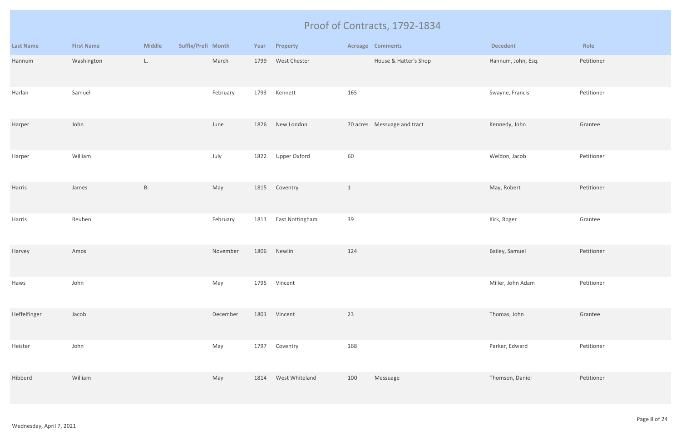|                  |                   |               |                    |          |      |                 |              | Proof of Contracts, 1792-1834 |                    |            |
|------------------|-------------------|---------------|--------------------|----------|------|-----------------|--------------|-------------------------------|--------------------|------------|
| <b>Last Name</b> | <b>First Name</b> | <b>Middle</b> | Suffix/Prefi Month |          | Year | Property        |              | <b>Acreage Comments</b>       | <b>Decedent</b>    | Role       |
| Hannum           | Washington        | L.            |                    | March    | 1799 | West Chester    |              | House & Hatter's Shop         | Hannum, John, Esq. | Petitioner |
| Harlan           | Samuel            |               |                    | February | 1793 | Kennett         | 165          |                               | Swayne, Francis    | Petitioner |
| Harper           | John              |               |                    | June     | 1826 | New London      |              | 70 acres Messuage and tract   | Kennedy, John      | Grantee    |
| Harper           | William           |               |                    | July     | 1822 | Upper Oxford    | 60           |                               | Weldon, Jacob      | Petitioner |
| Harris           | James             | <b>B.</b>     |                    | May      | 1815 | Coventry        | $\mathbf{1}$ |                               | May, Robert        | Petitioner |
| Harris           | Reuben            |               |                    | February | 1811 | East Nottingham | 39           |                               | Kirk, Roger        | Grantee    |
| Harvey           | Amos              |               |                    | November | 1806 | Newlin          | 124          |                               | Bailey, Samuel     | Petitioner |
| Haws             | John              |               |                    | May      | 1795 | Vincent         |              |                               | Miller, John Adam  | Petitioner |
| Heffelfinger     | Jacob             |               |                    | December | 1801 | Vincent         | 23           |                               | Thomas, John       | Grantee    |
| Heister          | John              |               |                    | May      | 1797 | Coventry        | 168          |                               | Parker, Edward     | Petitioner |
| Hibberd          | William           |               |                    | May      | 1814 | West Whiteland  | 100          | Messuage                      | Thomson, Daniel    | Petitioner |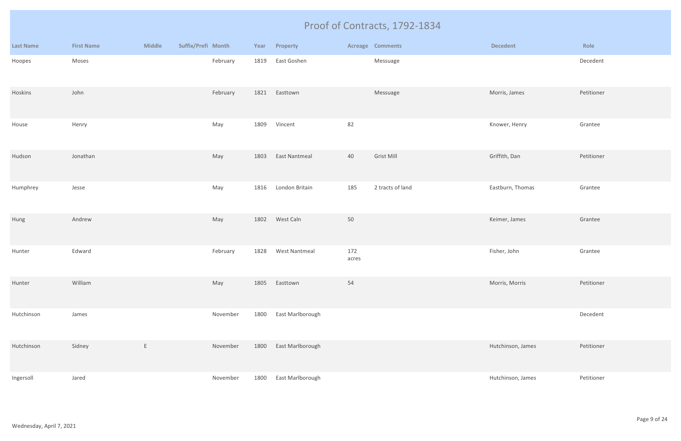|                  |                   |               |                    |          |      |                      |              | Proof of Contracts, 1792-1834 |                   |            |
|------------------|-------------------|---------------|--------------------|----------|------|----------------------|--------------|-------------------------------|-------------------|------------|
| <b>Last Name</b> | <b>First Name</b> | <b>Middle</b> | Suffix/Prefi Month |          | Year | Property             |              | <b>Acreage Comments</b>       | <b>Decedent</b>   | Role       |
| Hoopes           | Moses             |               |                    | February | 1819 | East Goshen          |              | Messuage                      |                   | Decedent   |
| Hoskins          | John              |               |                    | February | 1821 | Easttown             |              | Messuage                      | Morris, James     | Petitioner |
| House            | Henry             |               |                    | May      | 1809 | Vincent              | 82           |                               | Knower, Henry     | Grantee    |
| Hudson           | Jonathan          |               |                    | May      | 1803 | <b>East Nantmeal</b> | 40           | Grist Mill                    | Griffith, Dan     | Petitioner |
| Humphrey         | Jesse             |               |                    | May      | 1816 | London Britain       | 185          | 2 tracts of land              | Eastburn, Thomas  | Grantee    |
| Hung             | Andrew            |               |                    | May      | 1802 | West Caln            | 50           |                               | Keimer, James     | Grantee    |
| Hunter           | Edward            |               |                    | February | 1828 | <b>West Nantmeal</b> | 172<br>acres |                               | Fisher, John      | Grantee    |
| Hunter           | William           |               |                    | May      | 1805 | Easttown             | 54           |                               | Morris, Morris    | Petitioner |
| Hutchinson       | James             |               |                    | November | 1800 | East Marlborough     |              |                               |                   | Decedent   |
| Hutchinson       | Sidney            | E             |                    | November | 1800 | East Marlborough     |              |                               | Hutchinson, James | Petitioner |
| Ingersoll        | Jared             |               |                    | November | 1800 | East Marlborough     |              |                               | Hutchinson, James | Petitioner |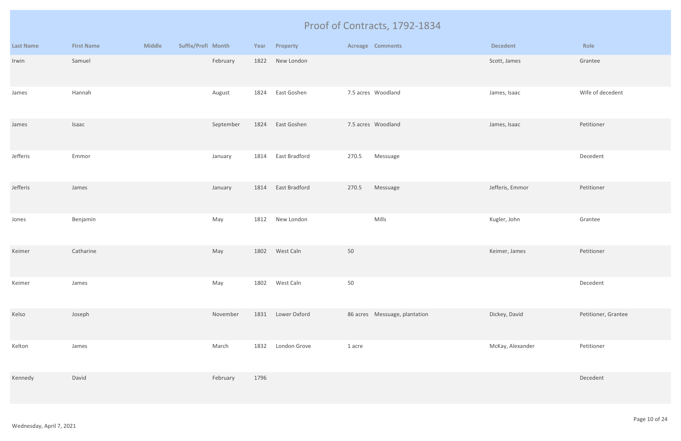|                  |                   |               |                    |      |                |        | Proof of Contracts, 1792-1834 |                  |                     |
|------------------|-------------------|---------------|--------------------|------|----------------|--------|-------------------------------|------------------|---------------------|
| <b>Last Name</b> | <b>First Name</b> | <b>Middle</b> | Suffix/Prefi Month | Year | Property       |        | <b>Acreage Comments</b>       | <b>Decedent</b>  | Role                |
| Irwin            | Samuel            |               | February           | 1822 | New London     |        |                               | Scott, James     | Grantee             |
| James            | Hannah            |               | August             | 1824 | East Goshen    |        | 7.5 acres Woodland            | James, Isaac     | Wife of decedent    |
| James            | Isaac             |               | September          | 1824 | East Goshen    |        | 7.5 acres Woodland            | James, Isaac     | Petitioner          |
| Jefferis         | Emmor             |               | January            | 1814 | East Bradford  | 270.5  | Messuage                      |                  | Decedent            |
| Jefferis         | James             |               | January            | 1814 | East Bradford  | 270.5  | Messuage                      | Jefferis, Emmor  | Petitioner          |
| Jones            | Benjamin          |               | May                | 1812 | New London     |        | Mills                         | Kugler, John     | Grantee             |
| Keimer           | Catharine         |               | May                |      | 1802 West Caln | 50     |                               | Keimer, James    | Petitioner          |
| Keimer           | James             |               | May                | 1802 | West Caln      | 50     |                               |                  | Decedent            |
| Kelso            | Joseph            |               | November           | 1831 | Lower Oxford   |        | 86 acres Messuage, plantation | Dickey, David    | Petitioner, Grantee |
| Kelton           | James             |               | March              | 1832 | London Grove   | 1 acre |                               | McKay, Alexander | Petitioner          |
| Kennedy          | David             |               | February           | 1796 |                |        |                               |                  | Decedent            |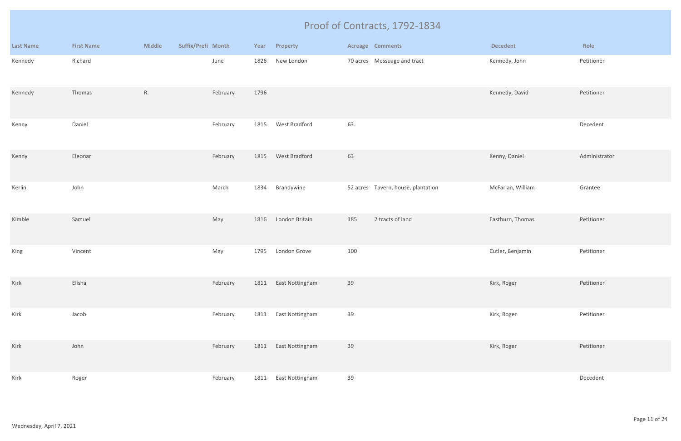|                  |                   |               |                    |      |                 |     | Proof of Contracts, 1792-1834      |                   |               |
|------------------|-------------------|---------------|--------------------|------|-----------------|-----|------------------------------------|-------------------|---------------|
| <b>Last Name</b> | <b>First Name</b> | <b>Middle</b> | Suffix/Prefi Month | Year | Property        |     | <b>Acreage Comments</b>            | <b>Decedent</b>   | Role          |
| Kennedy          | Richard           |               | June               | 1826 | New London      |     | 70 acres Messuage and tract        | Kennedy, John     | Petitioner    |
| Kennedy          | Thomas            | R.            | February           | 1796 |                 |     |                                    | Kennedy, David    | Petitioner    |
| Kenny            | Daniel            |               | February           | 1815 | West Bradford   | 63  |                                    |                   | Decedent      |
| Kenny            | Eleonar           |               | February           | 1815 | West Bradford   | 63  |                                    | Kenny, Daniel     | Administrator |
| Kerlin           | John              |               | March              | 1834 | Brandywine      |     | 52 acres Tavern, house, plantation | McFarlan, William | Grantee       |
| Kimble           | Samuel            |               | May                | 1816 | London Britain  | 185 | 2 tracts of land                   | Eastburn, Thomas  | Petitioner    |
| King             | Vincent           |               | May                | 1795 | London Grove    | 100 |                                    | Cutler, Benjamin  | Petitioner    |
| Kirk             | Elisha            |               | February           | 1811 | East Nottingham | 39  |                                    | Kirk, Roger       | Petitioner    |
| Kirk             | Jacob             |               | February           | 1811 | East Nottingham | 39  |                                    | Kirk, Roger       | Petitioner    |
| Kirk             | John              |               | February           | 1811 | East Nottingham | 39  |                                    | Kirk, Roger       | Petitioner    |
| Kirk             | Roger             |               | February           | 1811 | East Nottingham | 39  |                                    |                   | Decedent      |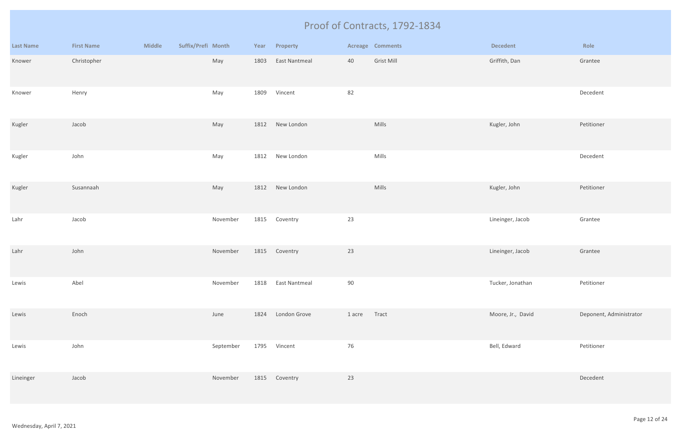|                  |                   |               |                    |           |      |                      |        | Proof of Contracts, 1792-1834 |                   |                         |
|------------------|-------------------|---------------|--------------------|-----------|------|----------------------|--------|-------------------------------|-------------------|-------------------------|
| <b>Last Name</b> | <b>First Name</b> | <b>Middle</b> | Suffix/Prefi Month |           | Year | Property             |        | Acreage Comments              | <b>Decedent</b>   | Role                    |
| Knower           | Christopher       |               |                    | May       | 1803 | <b>East Nantmeal</b> | 40     | Grist Mill                    | Griffith, Dan     | Grantee                 |
| Knower           | Henry             |               |                    | May       | 1809 | Vincent              | 82     |                               |                   | Decedent                |
| Kugler           | Jacob             |               |                    | May       |      | 1812 New London      |        | Mills                         | Kugler, John      | Petitioner              |
| Kugler           | John              |               |                    | May       | 1812 | New London           |        | Mills                         |                   | Decedent                |
| Kugler           | Susannaah         |               |                    | May       | 1812 | New London           |        | Mills                         | Kugler, John      | Petitioner              |
| Lahr             | Jacob             |               |                    | November  | 1815 | Coventry             | 23     |                               | Lineinger, Jacob  | Grantee                 |
| Lahr             | John              |               |                    | November  |      | 1815 Coventry        | 23     |                               | Lineinger, Jacob  | Grantee                 |
| Lewis            | Abel              |               |                    | November  | 1818 | <b>East Nantmeal</b> | 90     |                               | Tucker, Jonathan  | Petitioner              |
| Lewis            | Enoch             |               |                    | June      | 1824 | London Grove         | 1 acre | Tract                         | Moore, Jr., David | Deponent, Administrator |
| Lewis            | John              |               |                    | September | 1795 | Vincent              | 76     |                               | Bell, Edward      | Petitioner              |
| Lineinger        | Jacob             |               |                    | November  |      | 1815 Coventry        | 23     |                               |                   | Decedent                |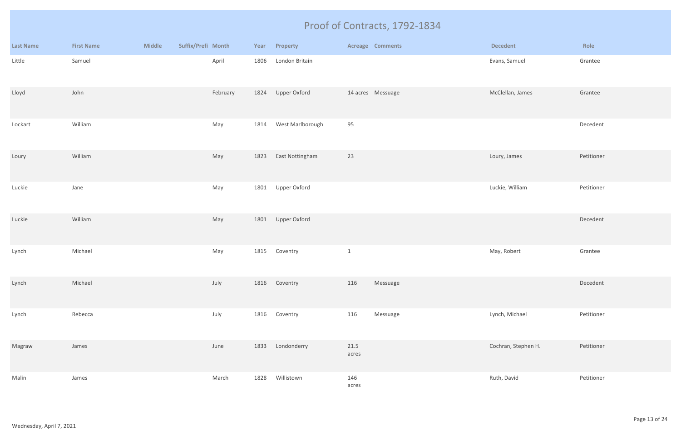|                  |                   |               |                    |          |      |                   |               | Proof of Contracts, 1792-1834 |                     |            |
|------------------|-------------------|---------------|--------------------|----------|------|-------------------|---------------|-------------------------------|---------------------|------------|
| <b>Last Name</b> | <b>First Name</b> | <b>Middle</b> | Suffix/Prefi Month |          | Year | Property          |               | <b>Acreage Comments</b>       | <b>Decedent</b>     | Role       |
| Little           | Samuel            |               |                    | April    | 1806 | London Britain    |               |                               | Evans, Samuel       | Grantee    |
| Lloyd            | John              |               |                    | February |      | 1824 Upper Oxford |               | 14 acres Messuage             | McClellan, James    | Grantee    |
| Lockart          | William           |               |                    | May      | 1814 | West Marlborough  | 95            |                               |                     | Decedent   |
| Loury            | William           |               |                    | May      | 1823 | East Nottingham   | 23            |                               | Loury, James        | Petitioner |
| Luckie           | Jane              |               |                    | May      | 1801 | Upper Oxford      |               |                               | Luckie, William     | Petitioner |
| Luckie           | William           |               |                    | May      | 1801 | Upper Oxford      |               |                               |                     | Decedent   |
| Lynch            | Michael           |               |                    | May      | 1815 | Coventry          | $\mathbf{1}$  |                               | May, Robert         | Grantee    |
| Lynch            | Michael           |               |                    | July     |      | 1816 Coventry     | 116           | Messuage                      |                     | Decedent   |
| Lynch            | Rebecca           |               |                    | July     | 1816 | Coventry          | 116           | Messuage                      | Lynch, Michael      | Petitioner |
| Magraw           | James             |               |                    | June     | 1833 | Londonderry       | 21.5<br>acres |                               | Cochran, Stephen H. | Petitioner |
| Malin            | James             |               |                    | March    | 1828 | Willistown        | 146<br>acres  |                               | Ruth, David         | Petitioner |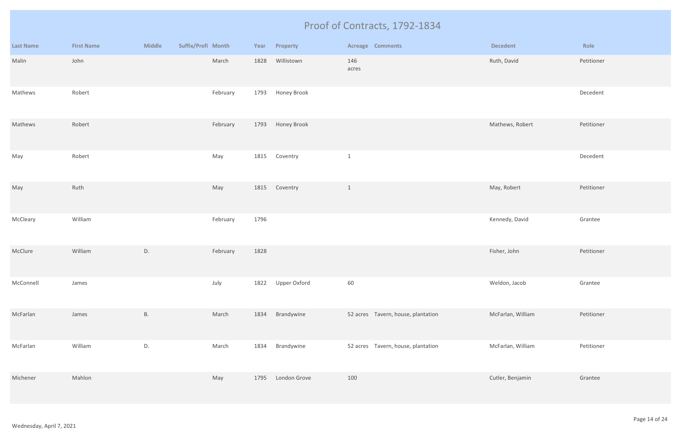|                  |                   |               |                    |      |                  | Proof of Contracts, 1792-1834      |                   |            |
|------------------|-------------------|---------------|--------------------|------|------------------|------------------------------------|-------------------|------------|
| <b>Last Name</b> | <b>First Name</b> | <b>Middle</b> | Suffix/Prefi Month | Year | Property         | <b>Acreage Comments</b>            | <b>Decedent</b>   | Role       |
| Malin            | John              |               | March              | 1828 | Willistown       | 146<br>acres                       | Ruth, David       | Petitioner |
| Mathews          | Robert            |               | February           | 1793 | Honey Brook      |                                    |                   | Decedent   |
| Mathews          | Robert            |               | February           |      | 1793 Honey Brook |                                    | Mathews, Robert   | Petitioner |
| May              | Robert            |               | May                | 1815 | Coventry         | $\mathbf{1}$                       |                   | Decedent   |
| May              | Ruth              |               | May                | 1815 | Coventry         | $\mathbf{1}$                       | May, Robert       | Petitioner |
| McCleary         | William           |               | February           | 1796 |                  |                                    | Kennedy, David    | Grantee    |
| McClure          | William           | D.            | February           | 1828 |                  |                                    | Fisher, John      | Petitioner |
| McConnell        | James             |               | July               | 1822 | Upper Oxford     | 60                                 | Weldon, Jacob     | Grantee    |
| McFarlan         | James             | <b>B.</b>     | March              | 1834 | Brandywine       | 52 acres Tavern, house, plantation | McFarlan, William | Petitioner |
| McFarlan         | William           | D.            | March              | 1834 | Brandywine       | 52 acres Tavern, house, plantation | McFarlan, William | Petitioner |
| Michener         | Mahlon            |               | May                | 1795 | London Grove     | 100                                | Cutler, Benjamin  | Grantee    |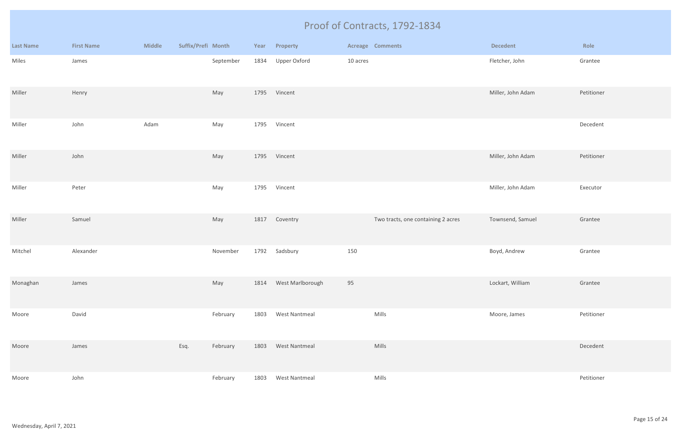|                  |                   |               |                    |           |      |                       |          | Proof of Contracts, 1792-1834      |                   |            |
|------------------|-------------------|---------------|--------------------|-----------|------|-----------------------|----------|------------------------------------|-------------------|------------|
| <b>Last Name</b> | <b>First Name</b> | <b>Middle</b> | Suffix/Prefi Month |           | Year | Property              |          | <b>Acreage Comments</b>            | <b>Decedent</b>   | Role       |
| Miles            | James             |               |                    | September | 1834 | Upper Oxford          | 10 acres |                                    | Fletcher, John    | Grantee    |
| Miller           | Henry             |               |                    | May       |      | 1795 Vincent          |          |                                    | Miller, John Adam | Petitioner |
| Miller           | John              | Adam          |                    | May       | 1795 | Vincent               |          |                                    |                   | Decedent   |
| Miller           | John              |               |                    | May       | 1795 | Vincent               |          |                                    | Miller, John Adam | Petitioner |
| Miller           | Peter             |               |                    | May       | 1795 | Vincent               |          |                                    | Miller, John Adam | Executor   |
| Miller           | Samuel            |               |                    | May       | 1817 | Coventry              |          | Two tracts, one containing 2 acres | Townsend, Samuel  | Grantee    |
| Mitchel          | Alexander         |               |                    | November  | 1792 | Sadsbury              | 150      |                                    | Boyd, Andrew      | Grantee    |
| Monaghan         | James             |               |                    | May       |      | 1814 West Marlborough | 95       |                                    | Lockart, William  | Grantee    |
| Moore            | David             |               |                    | February  | 1803 | West Nantmeal         |          | Mills                              | Moore, James      | Petitioner |
| Moore            | James             |               | Esq.               | February  | 1803 | West Nantmeal         |          | Mills                              |                   | Decedent   |
| Moore            | John              |               |                    | February  | 1803 | West Nantmeal         |          | Mills                              |                   | Petitioner |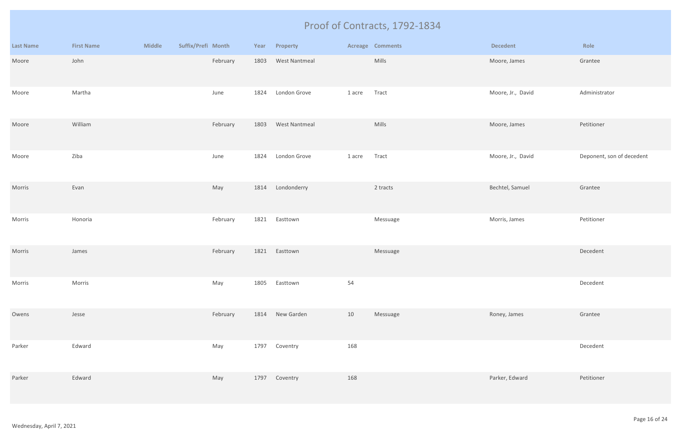|                  |                   |               |                    |          |      |                      |        | Proof of Contracts, 1792-1834 |                   |                           |
|------------------|-------------------|---------------|--------------------|----------|------|----------------------|--------|-------------------------------|-------------------|---------------------------|
| <b>Last Name</b> | <b>First Name</b> | <b>Middle</b> | Suffix/Prefi Month |          | Year | Property             |        | <b>Acreage Comments</b>       | <b>Decedent</b>   | Role                      |
| Moore            | John              |               |                    | February | 1803 | <b>West Nantmeal</b> |        | Mills                         | Moore, James      | Grantee                   |
| Moore            | Martha            |               |                    | June     | 1824 | London Grove         | 1 acre | Tract                         | Moore, Jr., David | Administrator             |
| Moore            | William           |               |                    | February | 1803 | <b>West Nantmeal</b> |        | Mills                         | Moore, James      | Petitioner                |
| Moore            | Ziba              |               |                    | June     | 1824 | London Grove         | 1 acre | Tract                         | Moore, Jr., David | Deponent, son of decedent |
| Morris           | Evan              |               |                    | May      | 1814 | Londonderry          |        | 2 tracts                      | Bechtel, Samuel   | Grantee                   |
| Morris           | Honoria           |               |                    | February | 1821 | Easttown             |        | Messuage                      | Morris, James     | Petitioner                |
| Morris           | James             |               |                    | February | 1821 | Easttown             |        | Messuage                      |                   | Decedent                  |
| Morris           | Morris            |               |                    | May      | 1805 | Easttown             | 54     |                               |                   | Decedent                  |
| Owens            | Jesse             |               |                    | February |      | 1814 New Garden      | 10     | Messuage                      | Roney, James      | Grantee                   |
| Parker           | Edward            |               |                    | May      | 1797 | Coventry             | 168    |                               |                   | Decedent                  |
| Parker           | Edward            |               |                    | May      | 1797 | Coventry             | 168    |                               | Parker, Edward    | Petitioner                |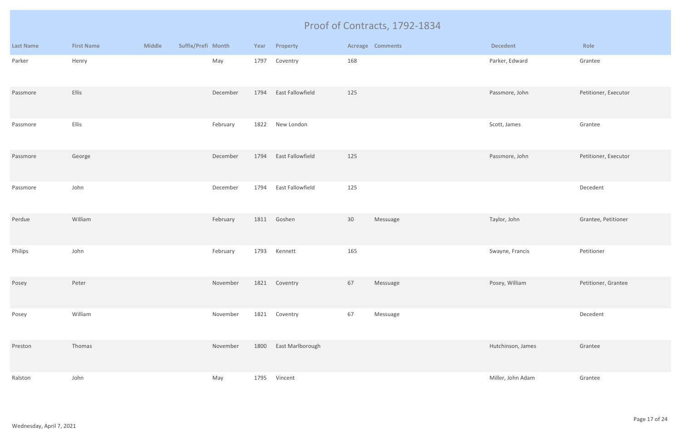|                  |                   |               |                    |          |      |                  |     | Proof of Contracts, 1792-1834 |                   |                      |
|------------------|-------------------|---------------|--------------------|----------|------|------------------|-----|-------------------------------|-------------------|----------------------|
| <b>Last Name</b> | <b>First Name</b> | <b>Middle</b> | Suffix/Prefi Month |          | Year | Property         |     | <b>Acreage Comments</b>       | <b>Decedent</b>   | Role                 |
| Parker           | Henry             |               |                    | May      | 1797 | Coventry         | 168 |                               | Parker, Edward    | Grantee              |
| Passmore         | Ellis             |               |                    | December | 1794 | East Fallowfield | 125 |                               | Passmore, John    | Petitioner, Executor |
| Passmore         | Ellis             |               |                    | February | 1822 | New London       |     |                               | Scott, James      | Grantee              |
| Passmore         | George            |               |                    | December | 1794 | East Fallowfield | 125 |                               | Passmore, John    | Petitioner, Executor |
| Passmore         | John              |               |                    | December | 1794 | East Fallowfield | 125 |                               |                   | Decedent             |
| Perdue           | William           |               |                    | February | 1811 | Goshen           | 30  | Messuage                      | Taylor, John      | Grantee, Petitioner  |
| Philips          | John              |               |                    | February | 1793 | Kennett          | 165 |                               | Swayne, Francis   | Petitioner           |
| Posey            | Peter             |               |                    | November | 1821 | Coventry         | 67  | Messuage                      | Posey, William    | Petitioner, Grantee  |
| Posey            | William           |               |                    | November | 1821 | Coventry         | 67  | Messuage                      |                   | Decedent             |
| Preston          | Thomas            |               |                    | November | 1800 | East Marlborough |     |                               | Hutchinson, James | Grantee              |
| Ralston          | John              |               |                    | May      | 1795 | Vincent          |     |                               | Miller, John Adam | Grantee              |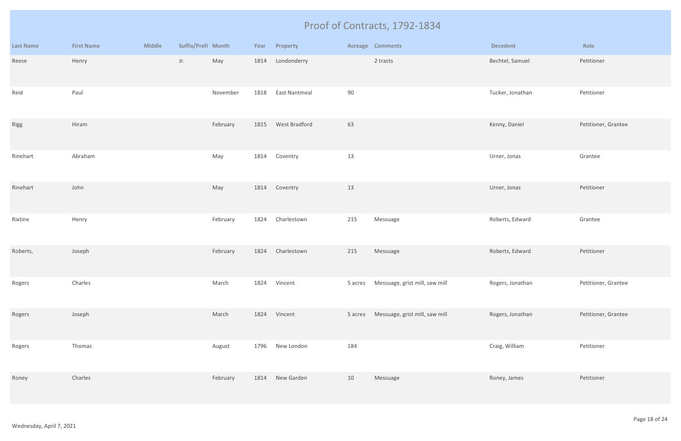|                  |                   |               |                    |          |      |                      |         | Proof of Contracts, 1792-1834  |                  |                     |
|------------------|-------------------|---------------|--------------------|----------|------|----------------------|---------|--------------------------------|------------------|---------------------|
| <b>Last Name</b> | <b>First Name</b> | <b>Middle</b> | Suffix/Prefi Month |          | Year | Property             |         | <b>Acreage Comments</b>        | <b>Decedent</b>  | Role                |
| Reese            | Henry             |               | Jr.                | May      | 1814 | Londonderry          |         | 2 tracts                       | Bechtel, Samuel  | Petitioner          |
| Reid             | Paul              |               |                    | November | 1818 | <b>East Nantmeal</b> | 90      |                                | Tucker, Jonathan | Petitioner          |
| Rigg             | Hiram             |               |                    | February | 1815 | West Bradford        | 63      |                                | Kenny, Daniel    | Petitioner, Grantee |
| Rinehart         | Abraham           |               |                    | May      | 1814 | Coventry             | 13      |                                | Urner, Jonas     | Grantee             |
| Rinehart         | John              |               |                    | May      | 1814 | Coventry             | 13      |                                | Urner, Jonas     | Petitioner          |
| Rixtine          | Henry             |               |                    | February | 1824 | Charlestown          | 215     | Messuage                       | Roberts, Edward  | Grantee             |
| Roberts,         | Joseph            |               |                    | February | 1824 | Charlestown          | 215     | Messuage                       | Roberts, Edward  | Petitioner          |
| Rogers           | Charles           |               |                    | March    | 1824 | Vincent              | 5 acres | Messuage, grist mill, saw mill | Rogers, Jonathan | Petitioner, Grantee |
| Rogers           | Joseph            |               |                    | March    | 1824 | Vincent              | 5 acres | Messuage, grist mill, saw mill | Rogers, Jonathan | Petitioner, Grantee |
| Rogers           | Thomas            |               |                    | August   | 1796 | New London           | 184     |                                | Craig, William   | Petitioner          |
| Roney            | Charles           |               |                    | February | 1814 | New Garden           | 10      | Messuage                       | Roney, James     | Petitioner          |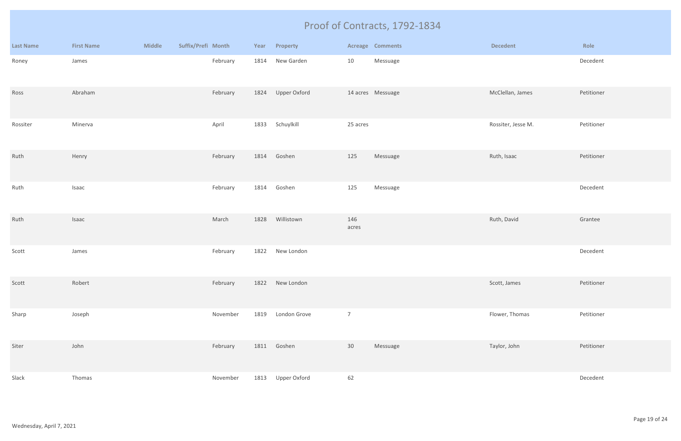|                  |                   |               |                    |          |      |                 |                | Proof of Contracts, 1792-1834 |                    |            |
|------------------|-------------------|---------------|--------------------|----------|------|-----------------|----------------|-------------------------------|--------------------|------------|
| <b>Last Name</b> | <b>First Name</b> | <b>Middle</b> | Suffix/Prefi Month |          | Year | Property        |                | <b>Acreage Comments</b>       | <b>Decedent</b>    | Role       |
| Roney            | James             |               |                    | February | 1814 | New Garden      | 10             | Messuage                      |                    | Decedent   |
| Ross             | Abraham           |               |                    | February | 1824 | Upper Oxford    |                | 14 acres Messuage             | McClellan, James   | Petitioner |
| Rossiter         | Minerva           |               |                    | April    | 1833 | Schuylkill      | 25 acres       |                               | Rossiter, Jesse M. | Petitioner |
| Ruth             | Henry             |               |                    | February | 1814 | Goshen          | 125            | Messuage                      | Ruth, Isaac        | Petitioner |
| Ruth             | Isaac             |               |                    | February | 1814 | Goshen          | 125            | Messuage                      |                    | Decedent   |
| Ruth             | Isaac             |               |                    | March    | 1828 | Willistown      | 146<br>acres   |                               | Ruth, David        | Grantee    |
| Scott            | James             |               |                    | February | 1822 | New London      |                |                               |                    | Decedent   |
| Scott            | Robert            |               |                    | February |      | 1822 New London |                |                               | Scott, James       | Petitioner |
| Sharp            | Joseph            |               |                    | November | 1819 | London Grove    | $\overline{7}$ |                               | Flower, Thomas     | Petitioner |
| Siter            | John              |               |                    | February |      | 1811 Goshen     | 30             | Messuage                      | Taylor, John       | Petitioner |
| Slack            | Thomas            |               |                    | November | 1813 | Upper Oxford    | 62             |                               |                    | Decedent   |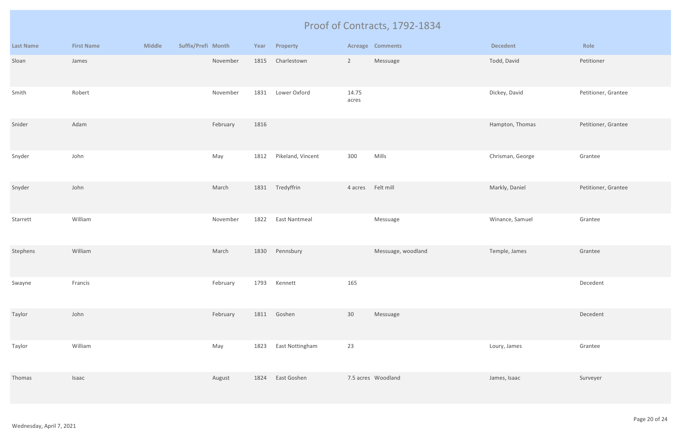|                  |                   |               |                    |          |      |                      |                 | Proof of Contracts, 1792-1834 |                  |                     |
|------------------|-------------------|---------------|--------------------|----------|------|----------------------|-----------------|-------------------------------|------------------|---------------------|
| <b>Last Name</b> | <b>First Name</b> | <b>Middle</b> | Suffix/Prefi Month |          | Year | Property             |                 | <b>Acreage Comments</b>       | <b>Decedent</b>  | Role                |
| Sloan            | James             |               |                    | November | 1815 | Charlestown          | $2\overline{ }$ | Messuage                      | Todd, David      | Petitioner          |
| Smith            | Robert            |               |                    | November | 1831 | Lower Oxford         | 14.75<br>acres  |                               | Dickey, David    | Petitioner, Grantee |
| Snider           | Adam              |               |                    | February | 1816 |                      |                 |                               | Hampton, Thomas  | Petitioner, Grantee |
| Snyder           | John              |               |                    | May      | 1812 | Pikeland, Vincent    | 300             | Mills                         | Chrisman, George | Grantee             |
| Snyder           | John              |               |                    | March    | 1831 | Tredyffrin           | 4 acres         | Felt mill                     | Markly, Daniel   | Petitioner, Grantee |
| Starrett         | William           |               |                    | November | 1822 | <b>East Nantmeal</b> |                 | Messuage                      | Winance, Samuel  | Grantee             |
| Stephens         | William           |               |                    | March    | 1830 | Pennsbury            |                 | Messuage, woodland            | Temple, James    | Grantee             |
| Swayne           | Francis           |               |                    | February | 1793 | Kennett              | 165             |                               |                  | Decedent            |
| Taylor           | John              |               |                    | February |      | 1811 Goshen          | 30 <sup>°</sup> | Messuage                      |                  | Decedent            |
| Taylor           | William           |               |                    | May      | 1823 | East Nottingham      | 23              |                               | Loury, James     | Grantee             |
| Thomas           | Isaac             |               |                    | August   | 1824 | East Goshen          |                 | 7.5 acres Woodland            | James, Isaac     | Surveyer            |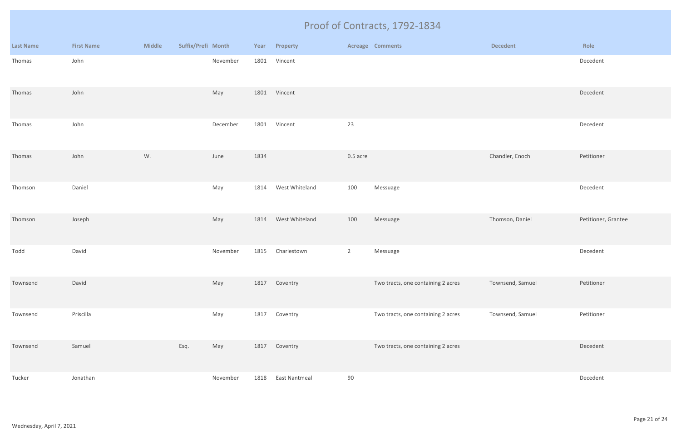|                  | Proof of Contracts, 1792-1834 |               |                    |          |      |                      |                |                                    |                  |                     |
|------------------|-------------------------------|---------------|--------------------|----------|------|----------------------|----------------|------------------------------------|------------------|---------------------|
| <b>Last Name</b> | <b>First Name</b>             | <b>Middle</b> | Suffix/Prefi Month |          |      | Year Property        |                | <b>Acreage Comments</b>            | <b>Decedent</b>  | Role                |
| Thomas           | John                          |               |                    | November | 1801 | Vincent              |                |                                    |                  | Decedent            |
| Thomas           | John                          |               |                    | May      | 1801 | Vincent              |                |                                    |                  | Decedent            |
| Thomas           | John                          |               |                    | December | 1801 | Vincent              | 23             |                                    |                  | Decedent            |
| Thomas           | John                          | W.            |                    | June     | 1834 |                      | 0.5 acre       |                                    | Chandler, Enoch  | Petitioner          |
| Thomson          | Daniel                        |               |                    | May      | 1814 | West Whiteland       | 100            | Messuage                           |                  | Decedent            |
| Thomson          | Joseph                        |               |                    | May      | 1814 | West Whiteland       | 100            | Messuage                           | Thomson, Daniel  | Petitioner, Grantee |
| Todd             | David                         |               |                    | November | 1815 | Charlestown          | $\overline{2}$ | Messuage                           |                  | Decedent            |
| Townsend         | David                         |               |                    | May      | 1817 | Coventry             |                | Two tracts, one containing 2 acres | Townsend, Samuel | Petitioner          |
| Townsend         | Priscilla                     |               |                    | May      | 1817 | Coventry             |                | Two tracts, one containing 2 acres | Townsend, Samuel | Petitioner          |
| Townsend         | Samuel                        |               | Esq.               | May      | 1817 | Coventry             |                | Two tracts, one containing 2 acres |                  | Decedent            |
| Tucker           | Jonathan                      |               |                    | November | 1818 | <b>East Nantmeal</b> | $90\,$         |                                    |                  | Decedent            |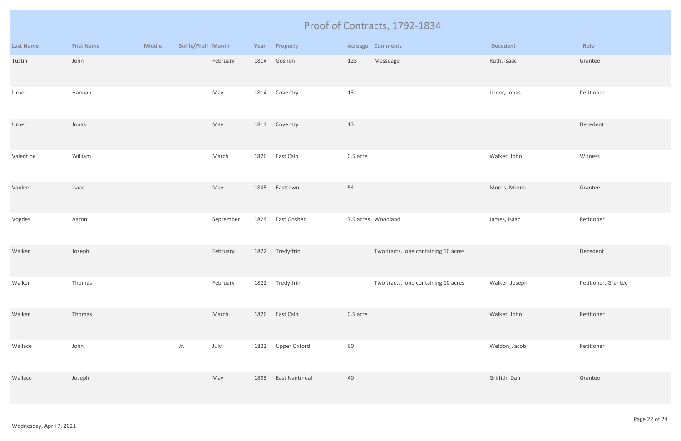|                  |                   |               |                    |           |      |                      |          | Proof of Contracts, 1792-1834       |                 |                     |
|------------------|-------------------|---------------|--------------------|-----------|------|----------------------|----------|-------------------------------------|-----------------|---------------------|
| <b>Last Name</b> | <b>First Name</b> | <b>Middle</b> | Suffix/Prefi Month |           | Year | Property             |          | <b>Acreage Comments</b>             | <b>Decedent</b> | Role                |
| Tustin           | John              |               |                    | February  | 1814 | Goshen               | 125      | Messuage                            | Ruth, Isaac     | Grantee             |
| Urner            | Hannah            |               |                    | May       | 1814 | Coventry             | 13       |                                     | Urner, Jonas    | Petitioner          |
| Urner            | Jonas             |               |                    | May       |      | 1814 Coventry        | 13       |                                     |                 | Decedent            |
| Valentine        | William           |               |                    | March     | 1826 | East Caln            | 0.5 acre |                                     | Walker, John    | Witness             |
| Vanleer          | Isaac             |               |                    | May       | 1805 | Easttown             | 54       |                                     | Morris, Morris  | Grantee             |
| Vogdes           | Aaron             |               |                    | September | 1824 | East Goshen          |          | 7.5 acres Woodland                  | James, Isaac    | Petitioner          |
| Walker           | Joseph            |               |                    | February  |      | 1822 Tredyffrin      |          | Two tracts, one containing 10 acres |                 | Decedent            |
| Walker           | Thomas            |               |                    | February  | 1822 | Tredyffrin           |          | Two tracts, one containing 10 acres | Walker, Joseph  | Petitioner, Grantee |
| Walker           | Thomas            |               |                    | March     | 1826 | East Caln            | 0.5 acre |                                     | Walker, John    | Petitioner          |
| Wallace          | John              |               | Jr.                | July      | 1822 | Upper Oxford         | 60       |                                     | Weldon, Jacob   | Petitioner          |
| Wallace          | Joseph            |               |                    | May       | 1803 | <b>East Nantmeal</b> | 40       |                                     | Griffith, Dan   | Grantee             |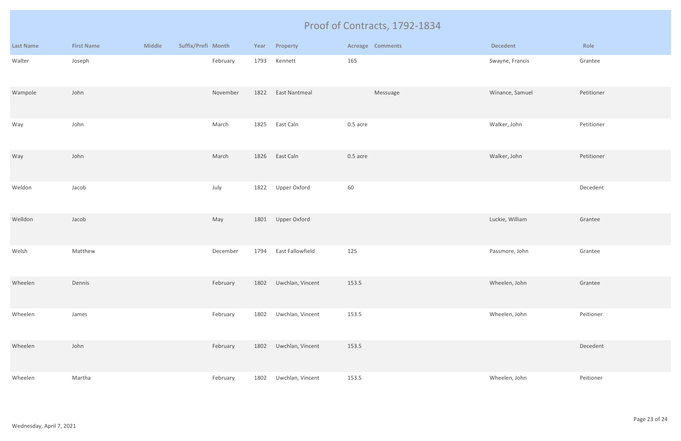|                  |                   |               |                    |      |                      | Proof of Contracts, 1792-1834 |                 |            |
|------------------|-------------------|---------------|--------------------|------|----------------------|-------------------------------|-----------------|------------|
| <b>Last Name</b> | <b>First Name</b> | <b>Middle</b> | Suffix/Prefi Month |      | Year Property        | <b>Acreage Comments</b>       | <b>Decedent</b> | Role       |
| Walter           | Joseph            |               | February           | 1793 | Kennett              | 165                           | Swayne, Francis | Grantee    |
| Wampole          | John              |               | November           | 1822 | <b>East Nantmeal</b> | Messuage                      | Winance, Samuel | Petitioner |
| Way              | John              |               | March              | 1825 | East Caln            | 0.5 acre                      | Walker, John    | Petitioner |
| Way              | John              |               | March              | 1826 | East Caln            | 0.5 acre                      | Walker, John    | Petitioner |
| Weldon           | Jacob             |               | July               | 1822 | Upper Oxford         | 60                            |                 | Decedent   |
| Welldon          | Jacob             |               | May                | 1801 | Upper Oxford         |                               | Luckie, William | Grantee    |
| Welsh            | Matthew           |               | December           | 1794 | East Fallowfield     | 125                           | Passmore, John  | Grantee    |
| Wheelen          | Dennis            |               | February           | 1802 | Uwchlan, Vincent     | 153.5                         | Wheelen, John   | Grantee    |
| Wheelen          | James             |               | February           | 1802 | Uwchlan, Vincent     | 153.5                         | Wheelen, John   | Peitioner  |
| Wheelen          | John              |               | February           | 1802 | Uwchlan, Vincent     | 153.5                         |                 | Decedent   |
| Wheelen          | Martha            |               | February           | 1802 | Uwchlan, Vincent     | 153.5                         | Wheelen, John   | Peitioner  |